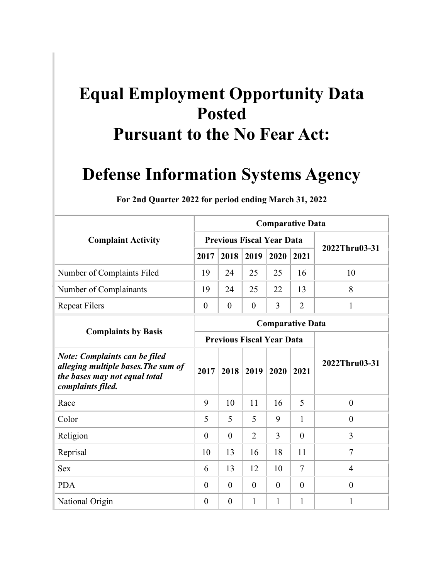## **Equal Employment Opportunity Data Posted Pursuant to the No Fear Act:**

## **Defense Information Systems Agency**

|                                                                                                                                   | <b>Comparative Data</b> |                  |                |                                  |                         |                |  |  |  |  |  |  |
|-----------------------------------------------------------------------------------------------------------------------------------|-------------------------|------------------|----------------|----------------------------------|-------------------------|----------------|--|--|--|--|--|--|
| <b>Complaint Activity</b>                                                                                                         |                         |                  |                | <b>Previous Fiscal Year Data</b> |                         | 2022Thru03-31  |  |  |  |  |  |  |
|                                                                                                                                   | 2017                    | 2018             | 2019           | 2020                             | 2021                    |                |  |  |  |  |  |  |
| Number of Complaints Filed                                                                                                        | 19                      | 24               | 25             | 25                               | 16                      | 10             |  |  |  |  |  |  |
| Number of Complainants                                                                                                            | 19                      | 24               | 25             | 22                               | 13                      | 8              |  |  |  |  |  |  |
| <b>Repeat Filers</b>                                                                                                              | $\boldsymbol{0}$        | $\boldsymbol{0}$ | $\theta$       | 3                                | $\overline{2}$          | 1              |  |  |  |  |  |  |
|                                                                                                                                   |                         |                  |                |                                  | <b>Comparative Data</b> |                |  |  |  |  |  |  |
| <b>Complaints by Basis</b>                                                                                                        |                         |                  |                | <b>Previous Fiscal Year Data</b> |                         |                |  |  |  |  |  |  |
| <b>Note: Complaints can be filed</b><br>alleging multiple bases. The sum of<br>the bases may not equal total<br>complaints filed. | 2017                    | 2018             | 2019           | 2020                             | 2021                    | 2022Thru03-31  |  |  |  |  |  |  |
| Race                                                                                                                              | 9                       | 10               | 11             | 16                               | 5                       | $\theta$       |  |  |  |  |  |  |
| Color                                                                                                                             | 5                       | 5                | 5              | 9                                | 1                       | $\theta$       |  |  |  |  |  |  |
| Religion                                                                                                                          | $\overline{0}$          | $\theta$         | $\overline{2}$ | 3                                | $\theta$                | 3              |  |  |  |  |  |  |
| Reprisal                                                                                                                          | 10                      | 13               | 16             | 18                               | 11                      | $\overline{7}$ |  |  |  |  |  |  |
| <b>Sex</b>                                                                                                                        | 6                       | 13               | 12             | 10                               | $\overline{7}$          | 4              |  |  |  |  |  |  |
| <b>PDA</b>                                                                                                                        | $\theta$                | $\theta$         | $\theta$       | $\overline{0}$                   | $\theta$                | $\theta$       |  |  |  |  |  |  |
| National Origin                                                                                                                   | 0                       | $\theta$         | 1              | 1                                | 1                       | 1              |  |  |  |  |  |  |

**For 2nd Quarter 2022 for period ending March 31, 2022**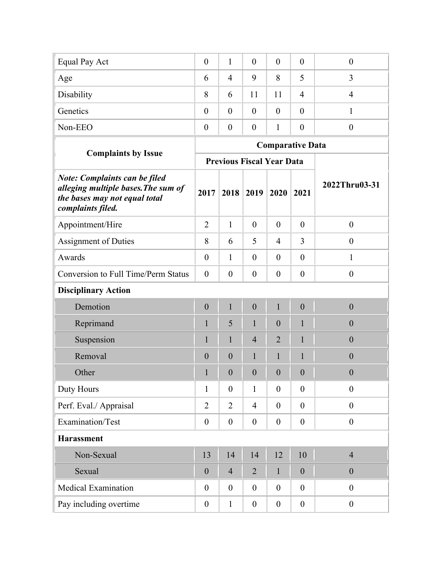| Equal Pay Act                                                                                                                     | $\boldsymbol{0}$ | $\mathbf{1}$     | $\boldsymbol{0}$                 | $\overline{0}$   | $\boldsymbol{0}$        | $\boldsymbol{0}$ |
|-----------------------------------------------------------------------------------------------------------------------------------|------------------|------------------|----------------------------------|------------------|-------------------------|------------------|
| Age                                                                                                                               | 6                | $\overline{4}$   | 9                                | 8                | 5                       | 3                |
|                                                                                                                                   |                  |                  |                                  |                  |                         |                  |
| Disability                                                                                                                        | 8                | 6                | 11                               | 11               | $\overline{4}$          | $\overline{4}$   |
| Genetics                                                                                                                          | $\theta$         | $\theta$         | $\theta$                         | $\theta$         | $\theta$                | 1                |
| Non-EEO                                                                                                                           | $\boldsymbol{0}$ | $\boldsymbol{0}$ | $\boldsymbol{0}$                 | 1                | $\theta$                | $\boldsymbol{0}$ |
|                                                                                                                                   |                  |                  |                                  |                  | <b>Comparative Data</b> |                  |
| <b>Complaints by Issue</b>                                                                                                        |                  |                  | <b>Previous Fiscal Year Data</b> |                  |                         |                  |
| <b>Note: Complaints can be filed</b><br>alleging multiple bases. The sum of<br>the bases may not equal total<br>complaints filed. | 2017             | 2018             | 2019                             | 2020             | 2021                    | 2022Thru03-31    |
| Appointment/Hire                                                                                                                  | $\overline{2}$   | $\mathbf{1}$     | $\theta$                         | $\overline{0}$   | $\mathbf{0}$            | $\boldsymbol{0}$ |
| <b>Assignment of Duties</b>                                                                                                       | 8                | 6                | 5                                | $\overline{4}$   | 3                       | $\overline{0}$   |
| Awards                                                                                                                            | $\boldsymbol{0}$ | $\mathbf{1}$     | $\theta$                         | $\boldsymbol{0}$ | $\mathbf{0}$            | $\mathbf{1}$     |
| Conversion to Full Time/Perm Status                                                                                               | $\boldsymbol{0}$ | $\boldsymbol{0}$ | $\theta$                         | $\boldsymbol{0}$ | $\boldsymbol{0}$        | $\boldsymbol{0}$ |
| <b>Disciplinary Action</b>                                                                                                        |                  |                  |                                  |                  |                         |                  |
| Demotion                                                                                                                          | $\boldsymbol{0}$ | $\mathbf{1}$     | $\mathbf{0}$                     | $\mathbf{1}$     | $\boldsymbol{0}$        | $\mathbf{0}$     |
| Reprimand                                                                                                                         | $\mathbf{1}$     | 5                | $\mathbf{1}$                     | $\boldsymbol{0}$ | $\mathbf{1}$            | $\boldsymbol{0}$ |
| Suspension                                                                                                                        | $\mathbf{1}$     | $\mathbf{1}$     | $\overline{4}$                   | $\overline{2}$   | $\mathbf{1}$            | $\mathbf{0}$     |
| Removal                                                                                                                           | $\boldsymbol{0}$ | $\mathbf{0}$     | $\mathbf{1}$                     | 1                | $\mathbf{1}$            | $\boldsymbol{0}$ |
| Other                                                                                                                             | 1                | $\boldsymbol{0}$ | $\overline{0}$                   | $\boldsymbol{0}$ | $\boldsymbol{0}$        | $\boldsymbol{0}$ |
| Duty Hours                                                                                                                        | $\mathbf{1}$     | $\boldsymbol{0}$ | $\mathbf{1}$                     | $\boldsymbol{0}$ | $\boldsymbol{0}$        | $\boldsymbol{0}$ |
| Perf. Eval./ Appraisal                                                                                                            | $\overline{2}$   | $\overline{2}$   | $\overline{4}$                   | $\boldsymbol{0}$ | $\mathbf{0}$            | $\boldsymbol{0}$ |
| Examination/Test                                                                                                                  | $\boldsymbol{0}$ | $\boldsymbol{0}$ | $\boldsymbol{0}$                 | $\boldsymbol{0}$ | $\boldsymbol{0}$        | $\boldsymbol{0}$ |
| <b>Harassment</b>                                                                                                                 |                  |                  |                                  |                  |                         |                  |
| Non-Sexual                                                                                                                        | 13               | 14               | 14                               | 12               | 10                      | $\overline{4}$   |
| Sexual                                                                                                                            | $\boldsymbol{0}$ | $\overline{4}$   | $\overline{2}$                   | $\mathbf{1}$     | $\boldsymbol{0}$        | $\boldsymbol{0}$ |
| <b>Medical Examination</b>                                                                                                        | $\boldsymbol{0}$ | $\boldsymbol{0}$ | $\boldsymbol{0}$                 | $\boldsymbol{0}$ | $\boldsymbol{0}$        | $\boldsymbol{0}$ |
| Pay including overtime                                                                                                            | $\boldsymbol{0}$ | $\mathbf{1}$     | $\boldsymbol{0}$                 | $\boldsymbol{0}$ | $\boldsymbol{0}$        | $\boldsymbol{0}$ |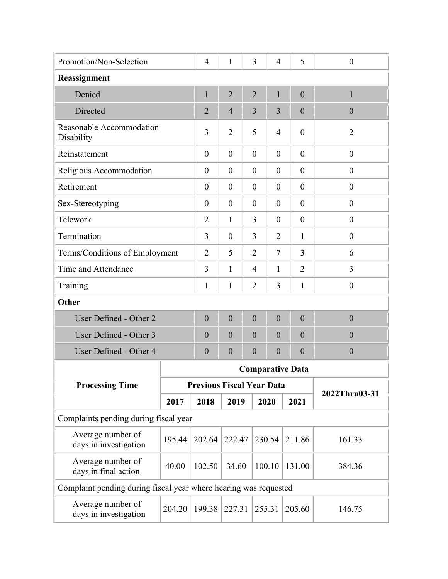| Promotion/Non-Selection                                          | 3<br>5<br>1<br>$\boldsymbol{0}$<br>$\overline{4}$<br>$\overline{4}$                   |                                  |                  |                  |                  |                         |                  |  |  |  |
|------------------------------------------------------------------|---------------------------------------------------------------------------------------|----------------------------------|------------------|------------------|------------------|-------------------------|------------------|--|--|--|
| Reassignment                                                     |                                                                                       |                                  |                  |                  |                  |                         |                  |  |  |  |
| Denied                                                           |                                                                                       | $\mathbf{1}$                     | $\overline{2}$   | $\overline{2}$   | $\mathbf{1}$     | $\overline{0}$          | $\mathbf{1}$     |  |  |  |
| Directed                                                         |                                                                                       | $\overline{2}$                   | $\overline{4}$   | 3                | 3                | $\theta$                | $\theta$         |  |  |  |
| Reasonable Accommodation<br>Disability                           |                                                                                       | 3                                | $\overline{2}$   | 5                | 4                | $\overline{0}$          | $\overline{2}$   |  |  |  |
| Reinstatement                                                    |                                                                                       | $\theta$                         | $\overline{0}$   | $\theta$         | $\theta$         | $\overline{0}$          | $\boldsymbol{0}$ |  |  |  |
| Religious Accommodation                                          |                                                                                       | $\theta$                         | $\overline{0}$   | $\theta$         | $\overline{0}$   | $\overline{0}$          | $\theta$         |  |  |  |
| Retirement                                                       |                                                                                       | $\boldsymbol{0}$                 | $\boldsymbol{0}$ | $\theta$         | $\boldsymbol{0}$ | $\overline{0}$          | $\boldsymbol{0}$ |  |  |  |
| Sex-Stereotyping                                                 |                                                                                       | $\boldsymbol{0}$                 | $\overline{0}$   | $\overline{0}$   | $\theta$         | $\overline{0}$          | $\boldsymbol{0}$ |  |  |  |
| Telework                                                         | $\mathbf{1}$<br>3<br>$\overline{2}$<br>$\overline{0}$<br>$\boldsymbol{0}$<br>$\theta$ |                                  |                  |                  |                  |                         |                  |  |  |  |
| Termination                                                      |                                                                                       | 3                                | $\overline{0}$   | 3                | $\overline{2}$   | 1                       | $\boldsymbol{0}$ |  |  |  |
| Terms/Conditions of Employment                                   |                                                                                       | $\overline{2}$                   | 5                | $\overline{2}$   | $\tau$           | 3                       | 6                |  |  |  |
| Time and Attendance                                              |                                                                                       | 3                                | $\mathbf{1}$     | 4                | 1                | $\overline{2}$          | 3                |  |  |  |
| Training                                                         |                                                                                       | 1                                | 1                | $\overline{2}$   | 3                | $\mathbf{1}$            | $\boldsymbol{0}$ |  |  |  |
| Other                                                            |                                                                                       |                                  |                  |                  |                  |                         |                  |  |  |  |
| User Defined - Other 2                                           |                                                                                       | $\boldsymbol{0}$                 | $\mathbf{0}$     | $\boldsymbol{0}$ | $\boldsymbol{0}$ | $\overline{0}$          | $\overline{0}$   |  |  |  |
| User Defined - Other 3                                           |                                                                                       | $\theta$                         | $\boldsymbol{0}$ | $\theta$         | $\overline{0}$   | $\overline{0}$          | $\theta$         |  |  |  |
| User Defined - Other 4                                           |                                                                                       | $\theta$                         | $\boldsymbol{0}$ | $\theta$         | $\boldsymbol{0}$ | $\theta$                | $\mathbf{0}$     |  |  |  |
|                                                                  |                                                                                       |                                  |                  |                  |                  | <b>Comparative Data</b> |                  |  |  |  |
| <b>Processing Time</b>                                           |                                                                                       | <b>Previous Fiscal Year Data</b> |                  |                  |                  |                         | 2022Thru03-31    |  |  |  |
|                                                                  | 2017                                                                                  | 2018                             | 2019             |                  | 2020             | 2021                    |                  |  |  |  |
| Complaints pending during fiscal year                            |                                                                                       |                                  |                  |                  |                  |                         |                  |  |  |  |
| Average number of<br>days in investigation                       | 195.44                                                                                | 202.64                           | 222.47           |                  | 230.54           | 211.86                  | 161.33           |  |  |  |
| Average number of<br>days in final action                        | 40.00                                                                                 | 102.50                           | 34.60            |                  | 100.10           | 131.00                  | 384.36           |  |  |  |
| Complaint pending during fiscal year where hearing was requested |                                                                                       |                                  |                  |                  |                  |                         |                  |  |  |  |
| Average number of<br>days in investigation                       | 204.20                                                                                | 199.38                           | 227.31           |                  | 255.31           | 205.60                  | 146.75           |  |  |  |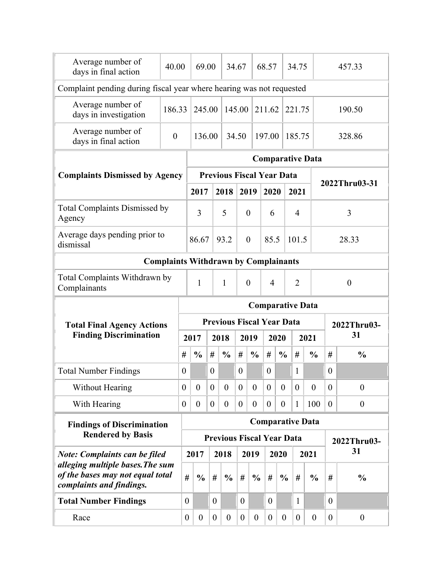| Average number of<br>days in final action                                                        | 40.00                                       |                  | 69.00            |                  |                                  | 34.67            |                  | 68.57            |                  | 34.75            |                         |                  |                  | 457.33           |  |
|--------------------------------------------------------------------------------------------------|---------------------------------------------|------------------|------------------|------------------|----------------------------------|------------------|------------------|------------------|------------------|------------------|-------------------------|------------------|------------------|------------------|--|
| Complaint pending during fiscal year where hearing was not requested                             |                                             |                  |                  |                  |                                  |                  |                  |                  |                  |                  |                         |                  |                  |                  |  |
| Average number of<br>days in investigation                                                       | 186.33                                      |                  | 245.00           |                  |                                  | 145.00           |                  | 211.62           |                  | 221.75           |                         | 190.50           |                  |                  |  |
| Average number of<br>days in final action                                                        | $\overline{0}$                              |                  | 136.00           |                  |                                  | 34.50            |                  | 197.00<br>185.75 |                  |                  |                         | 328.86           |                  |                  |  |
|                                                                                                  |                                             |                  |                  |                  |                                  |                  |                  |                  |                  |                  | <b>Comparative Data</b> |                  |                  |                  |  |
| <b>Complaints Dismissed by Agency</b>                                                            |                                             |                  |                  |                  | <b>Previous Fiscal Year Data</b> |                  |                  |                  |                  |                  |                         |                  |                  | 2022Thru03-31    |  |
|                                                                                                  |                                             |                  | 2017             |                  | 2018                             | 2019             |                  | 2020             |                  | 2021             |                         |                  |                  |                  |  |
| <b>Total Complaints Dismissed by</b><br>Agency                                                   |                                             |                  | 3                |                  | 5                                | $\overline{0}$   |                  | 6                |                  | $\overline{4}$   |                         |                  |                  | 3                |  |
| Average days pending prior to<br>dismissal                                                       |                                             |                  | 86.67            |                  | 93.2                             | $\overline{0}$   |                  | 85.5             |                  | 101.5            |                         |                  |                  | 28.33            |  |
|                                                                                                  | <b>Complaints Withdrawn by Complainants</b> |                  |                  |                  |                                  |                  |                  |                  |                  |                  |                         |                  |                  |                  |  |
| Total Complaints Withdrawn by<br>Complainants                                                    |                                             |                  | $\mathbf{1}$     |                  | $\mathbf{1}$                     | $\overline{0}$   |                  | $\overline{4}$   |                  | $\overline{2}$   |                         |                  |                  | $\theta$         |  |
|                                                                                                  |                                             |                  |                  |                  |                                  |                  |                  |                  |                  |                  | <b>Comparative Data</b> |                  |                  |                  |  |
| <b>Total Final Agency Actions</b>                                                                |                                             |                  |                  |                  | <b>Previous Fiscal Year Data</b> |                  |                  |                  |                  |                  |                         |                  |                  | 2022Thru03-      |  |
| <b>Finding Discrimination</b>                                                                    |                                             |                  | 2017             |                  | 2018                             |                  | 2019             |                  | 2020             |                  | 2021                    |                  |                  | 31               |  |
|                                                                                                  |                                             | #                | $\frac{0}{0}$    | #                | $\frac{0}{0}$                    | #                | $\frac{0}{0}$    | #                | $\frac{0}{0}$    | #                |                         | $\frac{0}{0}$    | #                | $\frac{0}{0}$    |  |
| <b>Total Number Findings</b>                                                                     |                                             | $\theta$         |                  | $\theta$         |                                  | $\theta$         |                  | $\overline{0}$   |                  | 1                |                         |                  | $\theta$         |                  |  |
| Without Hearing                                                                                  |                                             | $\boldsymbol{0}$ | $\boldsymbol{0}$ | $\boldsymbol{0}$ | $\overline{0}$                   | $\overline{0}$   | $\overline{0}$   | $\overline{0}$   | $\boldsymbol{0}$ | $\boldsymbol{0}$ |                         | $\overline{0}$   | $\theta$         | $\overline{0}$   |  |
| With Hearing                                                                                     |                                             | $\overline{0}$   | $\boldsymbol{0}$ | $\boldsymbol{0}$ | $\boldsymbol{0}$                 | $\boldsymbol{0}$ | $\overline{0}$   | $\boldsymbol{0}$ | $\boldsymbol{0}$ | $\mathbf{1}$     |                         | 100              | $\boldsymbol{0}$ | $\boldsymbol{0}$ |  |
| <b>Findings of Discrimination</b>                                                                |                                             |                  |                  |                  |                                  |                  |                  |                  |                  |                  | <b>Comparative Data</b> |                  |                  |                  |  |
| <b>Rendered by Basis</b>                                                                         |                                             |                  |                  |                  | <b>Previous Fiscal Year Data</b> |                  |                  |                  |                  |                  |                         |                  |                  | 2022Thru03-      |  |
| <b>Note: Complaints can be filed</b>                                                             |                                             |                  | 2017             |                  | 2018                             |                  | 2019             |                  | 2020             |                  | 2021                    |                  |                  | 31               |  |
| alleging multiple bases. The sum<br>of the bases may not equal total<br>complaints and findings. |                                             | #                | $\frac{0}{0}$    | $\#$             | $\frac{0}{0}$                    | $\#$             | $\frac{0}{0}$    | $\#$             | $\frac{0}{0}$    | #                |                         | $\frac{0}{0}$    | #                | $\frac{0}{0}$    |  |
| <b>Total Number Findings</b>                                                                     |                                             | $\theta$         |                  | $\boldsymbol{0}$ |                                  | $\boldsymbol{0}$ |                  | $\overline{0}$   |                  | 1                |                         |                  | $\overline{0}$   |                  |  |
| Race                                                                                             |                                             | $\overline{0}$   | $\boldsymbol{0}$ | $\boldsymbol{0}$ | $\theta$                         | $\boldsymbol{0}$ | $\boldsymbol{0}$ | $\boldsymbol{0}$ | $\boldsymbol{0}$ | $\boldsymbol{0}$ |                         | $\boldsymbol{0}$ | $\boldsymbol{0}$ | $\boldsymbol{0}$ |  |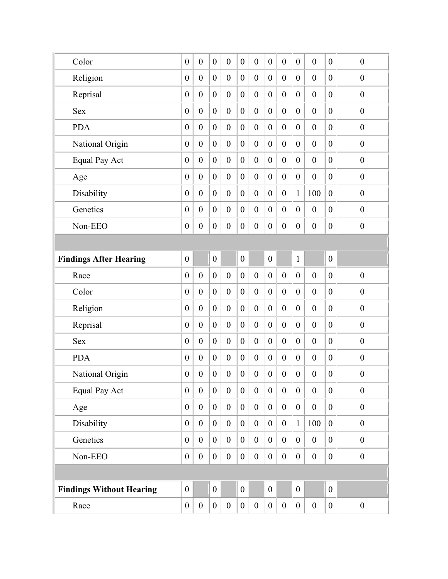| Color                           | $\boldsymbol{0}$ | $\boldsymbol{0}$ | $\boldsymbol{0}$ | $\boldsymbol{0}$ | $\boldsymbol{0}$ | $\boldsymbol{0}$ | $\boldsymbol{0}$ | $\boldsymbol{0}$ | $\boldsymbol{0}$ | $\boldsymbol{0}$ | $\boldsymbol{0}$ | $\boldsymbol{0}$ |
|---------------------------------|------------------|------------------|------------------|------------------|------------------|------------------|------------------|------------------|------------------|------------------|------------------|------------------|
| Religion                        | $\boldsymbol{0}$ | $\boldsymbol{0}$ | $\boldsymbol{0}$ | $\boldsymbol{0}$ | $\boldsymbol{0}$ | $\boldsymbol{0}$ | $\boldsymbol{0}$ | $\boldsymbol{0}$ | $\boldsymbol{0}$ | $\boldsymbol{0}$ | $\mathbf{0}$     | $\boldsymbol{0}$ |
| Reprisal                        | $\boldsymbol{0}$ | $\boldsymbol{0}$ | $\boldsymbol{0}$ | $\mathbf{0}$     | $\boldsymbol{0}$ | $\boldsymbol{0}$ | $\boldsymbol{0}$ | $\boldsymbol{0}$ | $\boldsymbol{0}$ | $\boldsymbol{0}$ | $\mathbf{0}$     | $\boldsymbol{0}$ |
| <b>Sex</b>                      | $\boldsymbol{0}$ | $\boldsymbol{0}$ | $\boldsymbol{0}$ | $\boldsymbol{0}$ | $\boldsymbol{0}$ | $\boldsymbol{0}$ | $\boldsymbol{0}$ | $\boldsymbol{0}$ | $\boldsymbol{0}$ | $\boldsymbol{0}$ | $\boldsymbol{0}$ | $\boldsymbol{0}$ |
| <b>PDA</b>                      | $\boldsymbol{0}$ | $\overline{0}$   | $\boldsymbol{0}$ | $\theta$         | $\boldsymbol{0}$ | $\boldsymbol{0}$ | $\boldsymbol{0}$ | $\boldsymbol{0}$ | $\boldsymbol{0}$ | $\boldsymbol{0}$ | $\overline{0}$   | $\boldsymbol{0}$ |
| National Origin                 | $\boldsymbol{0}$ | $\boldsymbol{0}$ | $\boldsymbol{0}$ | $\boldsymbol{0}$ | $\boldsymbol{0}$ | $\boldsymbol{0}$ | $\boldsymbol{0}$ | $\boldsymbol{0}$ | $\boldsymbol{0}$ | $\boldsymbol{0}$ | $\boldsymbol{0}$ | $\boldsymbol{0}$ |
| <b>Equal Pay Act</b>            | $\boldsymbol{0}$ | $\boldsymbol{0}$ | $\boldsymbol{0}$ | $\mathbf{0}$     | $\boldsymbol{0}$ | $\boldsymbol{0}$ | $\boldsymbol{0}$ | $\boldsymbol{0}$ | $\boldsymbol{0}$ | $\boldsymbol{0}$ | $\overline{0}$   | $\boldsymbol{0}$ |
| Age                             | $\boldsymbol{0}$ | $\boldsymbol{0}$ | $\boldsymbol{0}$ | $\boldsymbol{0}$ | $\boldsymbol{0}$ | $\boldsymbol{0}$ | $\boldsymbol{0}$ | $\boldsymbol{0}$ | $\boldsymbol{0}$ | $\boldsymbol{0}$ | $\boldsymbol{0}$ | $\boldsymbol{0}$ |
| Disability                      | $\boldsymbol{0}$ | $\boldsymbol{0}$ | $\boldsymbol{0}$ | $\mathbf{0}$     | $\boldsymbol{0}$ | $\boldsymbol{0}$ | $\boldsymbol{0}$ | $\boldsymbol{0}$ | $\mathbf{1}$     | 100              | $\boldsymbol{0}$ | $\boldsymbol{0}$ |
| Genetics                        | $\boldsymbol{0}$ | $\boldsymbol{0}$ | $\boldsymbol{0}$ | $\boldsymbol{0}$ | $\boldsymbol{0}$ | $\boldsymbol{0}$ | $\boldsymbol{0}$ | $\boldsymbol{0}$ | $\boldsymbol{0}$ | $\boldsymbol{0}$ | $\boldsymbol{0}$ | $\boldsymbol{0}$ |
| Non-EEO                         | $\boldsymbol{0}$ | $\boldsymbol{0}$ | $\boldsymbol{0}$ | $\boldsymbol{0}$ | $\boldsymbol{0}$ | $\boldsymbol{0}$ | $\boldsymbol{0}$ | $\boldsymbol{0}$ | $\boldsymbol{0}$ | $\boldsymbol{0}$ | $\boldsymbol{0}$ | $\boldsymbol{0}$ |
|                                 |                  |                  |                  |                  |                  |                  |                  |                  |                  |                  |                  |                  |
| <b>Findings After Hearing</b>   | $\boldsymbol{0}$ |                  | $\boldsymbol{0}$ |                  | $\boldsymbol{0}$ |                  | $\boldsymbol{0}$ |                  | $\mathbf{1}$     |                  | $\mathbf{0}$     |                  |
| Race                            | $\boldsymbol{0}$ | $\boldsymbol{0}$ | $\boldsymbol{0}$ | $\boldsymbol{0}$ | $\boldsymbol{0}$ | $\boldsymbol{0}$ | $\boldsymbol{0}$ | $\boldsymbol{0}$ | $\boldsymbol{0}$ | $\boldsymbol{0}$ | $\boldsymbol{0}$ | $\boldsymbol{0}$ |
| Color                           | $\boldsymbol{0}$ | $\overline{0}$   | $\boldsymbol{0}$ | $\mathbf{0}$     | $\boldsymbol{0}$ | $\mathbf{0}$     | $\boldsymbol{0}$ | $\boldsymbol{0}$ | $\boldsymbol{0}$ | $\boldsymbol{0}$ | $\overline{0}$   | $\boldsymbol{0}$ |
| Religion                        | $\boldsymbol{0}$ | $\boldsymbol{0}$ | $\boldsymbol{0}$ | $\boldsymbol{0}$ | $\boldsymbol{0}$ | $\boldsymbol{0}$ | $\boldsymbol{0}$ | $\boldsymbol{0}$ | $\boldsymbol{0}$ | $\boldsymbol{0}$ | $\boldsymbol{0}$ | $\boldsymbol{0}$ |
| Reprisal                        | $\boldsymbol{0}$ | $\boldsymbol{0}$ | $\boldsymbol{0}$ | $\mathbf{0}$     | $\boldsymbol{0}$ | $\boldsymbol{0}$ | $\boldsymbol{0}$ | $\boldsymbol{0}$ | $\boldsymbol{0}$ | $\boldsymbol{0}$ | $\boldsymbol{0}$ | $\boldsymbol{0}$ |
| <b>Sex</b>                      | $\boldsymbol{0}$ | $\boldsymbol{0}$ | $\boldsymbol{0}$ | $\boldsymbol{0}$ | $\boldsymbol{0}$ | $\boldsymbol{0}$ | $\boldsymbol{0}$ | $\boldsymbol{0}$ | $\boldsymbol{0}$ | $\boldsymbol{0}$ | $\boldsymbol{0}$ | $\boldsymbol{0}$ |
| <b>PDA</b>                      | $\boldsymbol{0}$ | $\boldsymbol{0}$ | $\boldsymbol{0}$ | $\boldsymbol{0}$ | $\boldsymbol{0}$ | $\boldsymbol{0}$ | $\boldsymbol{0}$ | $\boldsymbol{0}$ | $\boldsymbol{0}$ | $\boldsymbol{0}$ | $\boldsymbol{0}$ | $\boldsymbol{0}$ |
| National Origin                 | $\boldsymbol{0}$ | $\boldsymbol{0}$ | $\boldsymbol{0}$ | $\boldsymbol{0}$ | $\boldsymbol{0}$ | $\boldsymbol{0}$ | $\boldsymbol{0}$ | $\boldsymbol{0}$ | $\boldsymbol{0}$ | $\boldsymbol{0}$ | $\boldsymbol{0}$ | $\boldsymbol{0}$ |
| <b>Equal Pay Act</b>            | $\mathbf{0}$     | $\boldsymbol{0}$ | $\boldsymbol{0}$ | $\boldsymbol{0}$ | $\boldsymbol{0}$ | $\boldsymbol{0}$ | $\boldsymbol{0}$ | $\overline{0}$   | $\boldsymbol{0}$ | $\boldsymbol{0}$ | $\overline{0}$   | $\boldsymbol{0}$ |
| Age                             | $\boldsymbol{0}$ | $\boldsymbol{0}$ | $\boldsymbol{0}$ | $\boldsymbol{0}$ | $\boldsymbol{0}$ | $\boldsymbol{0}$ | $\boldsymbol{0}$ | $\boldsymbol{0}$ | $\overline{0}$   | $\boldsymbol{0}$ | $\boldsymbol{0}$ | $\boldsymbol{0}$ |
| Disability                      | $\boldsymbol{0}$ | $\boldsymbol{0}$ | $\overline{0}$   | $\boldsymbol{0}$ | $\boldsymbol{0}$ | $\boldsymbol{0}$ | $\boldsymbol{0}$ | $\boldsymbol{0}$ | $\mathbf{1}$     | 100              | $\boldsymbol{0}$ | $\boldsymbol{0}$ |
| Genetics                        | $\boldsymbol{0}$ | $\boldsymbol{0}$ | $\boldsymbol{0}$ | $\boldsymbol{0}$ | $\boldsymbol{0}$ | $\boldsymbol{0}$ | $\boldsymbol{0}$ | $\boldsymbol{0}$ | $\overline{0}$   | $\boldsymbol{0}$ | $\boldsymbol{0}$ | $\boldsymbol{0}$ |
| Non-EEO                         | $\boldsymbol{0}$ | $\boldsymbol{0}$ | $\boldsymbol{0}$ | $\boldsymbol{0}$ | $\boldsymbol{0}$ | $\boldsymbol{0}$ | $\boldsymbol{0}$ | $\boldsymbol{0}$ | $\boldsymbol{0}$ | $\boldsymbol{0}$ | $\boldsymbol{0}$ | $\boldsymbol{0}$ |
|                                 |                  |                  |                  |                  |                  |                  |                  |                  |                  |                  |                  |                  |
| <b>Findings Without Hearing</b> | $\boldsymbol{0}$ |                  | $\boldsymbol{0}$ |                  | $\boldsymbol{0}$ |                  | $\boldsymbol{0}$ |                  | $\boldsymbol{0}$ |                  | $\overline{0}$   |                  |
| Race                            | $\boldsymbol{0}$ | $\boldsymbol{0}$ | $\boldsymbol{0}$ | $\boldsymbol{0}$ | $\boldsymbol{0}$ | $\boldsymbol{0}$ | $\boldsymbol{0}$ | $\boldsymbol{0}$ | $\boldsymbol{0}$ | $\boldsymbol{0}$ | $\boldsymbol{0}$ | $\boldsymbol{0}$ |
|                                 |                  |                  |                  |                  |                  |                  |                  |                  |                  |                  |                  |                  |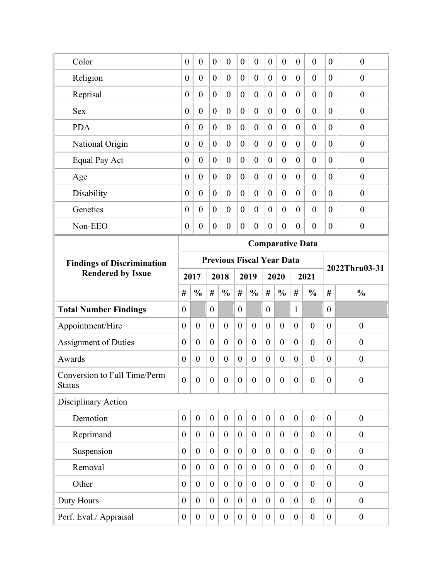| Color                                         | $\boldsymbol{0}$ | $\boldsymbol{0}$ | $\boldsymbol{0}$ | $\boldsymbol{0}$                 | $\boldsymbol{0}$ | $\boldsymbol{0}$ | $\boldsymbol{0}$ | $\boldsymbol{0}$        | $\boldsymbol{0}$ | $\boldsymbol{0}$ | $\boldsymbol{0}$ | $\boldsymbol{0}$ |
|-----------------------------------------------|------------------|------------------|------------------|----------------------------------|------------------|------------------|------------------|-------------------------|------------------|------------------|------------------|------------------|
| Religion                                      | $\boldsymbol{0}$ | $\boldsymbol{0}$ | $\boldsymbol{0}$ | $\boldsymbol{0}$                 | $\boldsymbol{0}$ | $\boldsymbol{0}$ | $\boldsymbol{0}$ | $\boldsymbol{0}$        | $\boldsymbol{0}$ | $\boldsymbol{0}$ | $\overline{0}$   | $\boldsymbol{0}$ |
| Reprisal                                      | $\boldsymbol{0}$ | $\overline{0}$   | $\boldsymbol{0}$ | $\overline{0}$                   | $\boldsymbol{0}$ | $\boldsymbol{0}$ | $\theta$         | $\boldsymbol{0}$        | $\overline{0}$   | $\boldsymbol{0}$ | $\overline{0}$   | $\boldsymbol{0}$ |
| <b>Sex</b>                                    | $\boldsymbol{0}$ | $\overline{0}$   | $\boldsymbol{0}$ | $\boldsymbol{0}$                 | $\boldsymbol{0}$ | $\boldsymbol{0}$ | $\boldsymbol{0}$ | $\boldsymbol{0}$        | $\boldsymbol{0}$ | $\boldsymbol{0}$ | $\overline{0}$   | $\boldsymbol{0}$ |
| <b>PDA</b>                                    | $\boldsymbol{0}$ | $\overline{0}$   | $\boldsymbol{0}$ | $\overline{0}$                   | $\boldsymbol{0}$ | $\boldsymbol{0}$ | $\boldsymbol{0}$ | $\boldsymbol{0}$        | $\theta$         | $\boldsymbol{0}$ | $\overline{0}$   | $\boldsymbol{0}$ |
| National Origin                               | $\boldsymbol{0}$ | $\overline{0}$   | $\boldsymbol{0}$ | $\boldsymbol{0}$                 | $\boldsymbol{0}$ | $\boldsymbol{0}$ | $\boldsymbol{0}$ | $\boldsymbol{0}$        | $\boldsymbol{0}$ | $\boldsymbol{0}$ | $\boldsymbol{0}$ | $\boldsymbol{0}$ |
| Equal Pay Act                                 | $\boldsymbol{0}$ | $\overline{0}$   | $\boldsymbol{0}$ | $\overline{0}$                   | $\boldsymbol{0}$ | $\boldsymbol{0}$ | $\boldsymbol{0}$ | $\boldsymbol{0}$        | $\boldsymbol{0}$ | $\boldsymbol{0}$ | $\boldsymbol{0}$ | $\boldsymbol{0}$ |
| Age                                           | $\boldsymbol{0}$ | $\boldsymbol{0}$ | $\boldsymbol{0}$ | $\boldsymbol{0}$                 | $\boldsymbol{0}$ | $\boldsymbol{0}$ | $\boldsymbol{0}$ | $\boldsymbol{0}$        | $\boldsymbol{0}$ | $\boldsymbol{0}$ | $\boldsymbol{0}$ | $\boldsymbol{0}$ |
| Disability                                    | $\boldsymbol{0}$ | $\overline{0}$   | $\boldsymbol{0}$ | $\boldsymbol{0}$                 | $\boldsymbol{0}$ | $\boldsymbol{0}$ | $\boldsymbol{0}$ | $\boldsymbol{0}$        | $\boldsymbol{0}$ | $\boldsymbol{0}$ | $\boldsymbol{0}$ | $\boldsymbol{0}$ |
| Genetics                                      | $\boldsymbol{0}$ | $\boldsymbol{0}$ | $\boldsymbol{0}$ | $\boldsymbol{0}$                 | $\boldsymbol{0}$ | $\boldsymbol{0}$ | $\boldsymbol{0}$ | $\boldsymbol{0}$        | $\boldsymbol{0}$ | $\boldsymbol{0}$ | $\boldsymbol{0}$ | $\boldsymbol{0}$ |
| Non-EEO                                       | $\boldsymbol{0}$ | $\boldsymbol{0}$ | $\boldsymbol{0}$ | $\boldsymbol{0}$                 | $\boldsymbol{0}$ | $\boldsymbol{0}$ | $\boldsymbol{0}$ | $\boldsymbol{0}$        | $\boldsymbol{0}$ | $\boldsymbol{0}$ | $\boldsymbol{0}$ | $\boldsymbol{0}$ |
|                                               |                  |                  |                  |                                  |                  |                  |                  | <b>Comparative Data</b> |                  |                  |                  |                  |
| <b>Findings of Discrimination</b>             |                  |                  |                  | <b>Previous Fiscal Year Data</b> |                  |                  |                  |                         |                  |                  |                  |                  |
| <b>Rendered by Issue</b>                      |                  | 2017             |                  | 2018                             |                  | 2019             |                  | 2020                    |                  | 2021             |                  | 2022Thru03-31    |
|                                               | #                | $\frac{0}{0}$    | #                | $\frac{0}{0}$                    | #                | $\frac{0}{0}$    | $\#$             | $\frac{0}{0}$           | #                | $\frac{0}{0}$    | #                | $\frac{0}{0}$    |
| <b>Total Number Findings</b>                  | $\theta$         |                  | $\overline{0}$   |                                  | $\boldsymbol{0}$ |                  | $\boldsymbol{0}$ |                         | $\mathbf{1}$     |                  | $\overline{0}$   |                  |
| Appointment/Hire                              | $\boldsymbol{0}$ | $\boldsymbol{0}$ | $\boldsymbol{0}$ | $\boldsymbol{0}$                 | $\boldsymbol{0}$ | $\boldsymbol{0}$ | $\boldsymbol{0}$ | $\boldsymbol{0}$        | $\boldsymbol{0}$ | $\boldsymbol{0}$ | $\overline{0}$   | $\boldsymbol{0}$ |
| <b>Assignment of Duties</b>                   | $\boldsymbol{0}$ | $\boldsymbol{0}$ | $\boldsymbol{0}$ | $\boldsymbol{0}$                 | $\boldsymbol{0}$ | $\overline{0}$   | $\boldsymbol{0}$ | $\overline{0}$          | $\boldsymbol{0}$ | $\boldsymbol{0}$ | $\overline{0}$   | $\boldsymbol{0}$ |
| Awards                                        | $\boldsymbol{0}$ | $\boldsymbol{0}$ | $\boldsymbol{0}$ | $\boldsymbol{0}$                 | $\boldsymbol{0}$ | $\boldsymbol{0}$ | $\boldsymbol{0}$ | $\boldsymbol{0}$        | $\boldsymbol{0}$ | $\boldsymbol{0}$ | $\overline{0}$   | $\boldsymbol{0}$ |
| Conversion to Full Time/Perm<br><b>Status</b> | $\boldsymbol{0}$ | $\overline{0}$   | $\boldsymbol{0}$ | $\mathbf{0}$                     | $\boldsymbol{0}$ | $\overline{0}$   | $\boldsymbol{0}$ | $\boldsymbol{0}$        | $\boldsymbol{0}$ | $\boldsymbol{0}$ | $\boldsymbol{0}$ | $\boldsymbol{0}$ |
| Disciplinary Action                           |                  |                  |                  |                                  |                  |                  |                  |                         |                  |                  |                  |                  |
| Demotion                                      | $\overline{0}$   | $\boldsymbol{0}$ | $\boldsymbol{0}$ | $\boldsymbol{0}$                 | $\boldsymbol{0}$ | $\boldsymbol{0}$ | $\boldsymbol{0}$ | $\boldsymbol{0}$        | $\boldsymbol{0}$ | $\boldsymbol{0}$ | $\boldsymbol{0}$ | $\boldsymbol{0}$ |
| Reprimand                                     | $\boldsymbol{0}$ | $\boldsymbol{0}$ | $\boldsymbol{0}$ | $\boldsymbol{0}$                 | $\boldsymbol{0}$ | $\boldsymbol{0}$ | $\boldsymbol{0}$ | $\boldsymbol{0}$        | $\boldsymbol{0}$ | $\boldsymbol{0}$ | $\theta$         | $\boldsymbol{0}$ |
| Suspension                                    |                  |                  |                  |                                  | $\mathbf{0}$     | $\boldsymbol{0}$ | $\boldsymbol{0}$ | $\boldsymbol{0}$        | $\boldsymbol{0}$ | $\boldsymbol{0}$ | $\overline{0}$   | $\boldsymbol{0}$ |
|                                               | $\boldsymbol{0}$ | $\boldsymbol{0}$ | $\boldsymbol{0}$ | $\boldsymbol{0}$                 |                  |                  |                  |                         |                  |                  |                  |                  |
| Removal                                       | $\boldsymbol{0}$ | $\boldsymbol{0}$ | $\theta$         | $\boldsymbol{0}$                 | $\boldsymbol{0}$ | $\boldsymbol{0}$ | $\boldsymbol{0}$ | $\overline{0}$          | $\boldsymbol{0}$ | $\boldsymbol{0}$ | $\overline{0}$   | $\boldsymbol{0}$ |
| Other                                         | $\boldsymbol{0}$ | $\boldsymbol{0}$ | $\boldsymbol{0}$ | $\boldsymbol{0}$                 | $\boldsymbol{0}$ | $\boldsymbol{0}$ | $\boldsymbol{0}$ | $\boldsymbol{0}$        | $\boldsymbol{0}$ | $\boldsymbol{0}$ | $\overline{0}$   | $\boldsymbol{0}$ |
| Duty Hours                                    | $\boldsymbol{0}$ | $\boldsymbol{0}$ | $\theta$         | $\boldsymbol{0}$                 | $\boldsymbol{0}$ | $\overline{0}$   | $\boldsymbol{0}$ | $\overline{0}$          | $\boldsymbol{0}$ | $\boldsymbol{0}$ | $\mathbf{0}$     | $\boldsymbol{0}$ |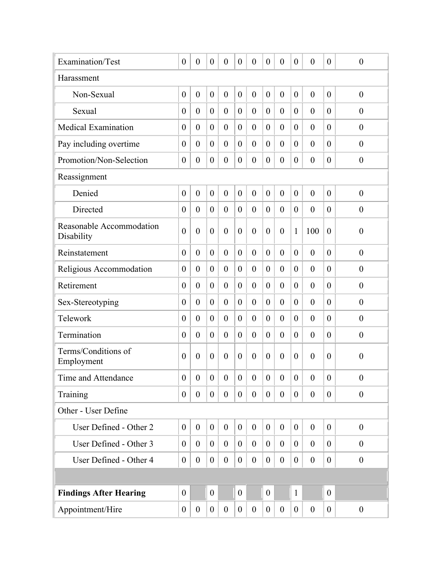| Examination/Test                       | $\boldsymbol{0}$ | $\boldsymbol{0}$ | $\boldsymbol{0}$ | $\boldsymbol{0}$ | $\boldsymbol{0}$ | $\boldsymbol{0}$ | $\boldsymbol{0}$ | $\boldsymbol{0}$ | $\boldsymbol{0}$ | $\boldsymbol{0}$ | $\boldsymbol{0}$ | $\boldsymbol{0}$ |
|----------------------------------------|------------------|------------------|------------------|------------------|------------------|------------------|------------------|------------------|------------------|------------------|------------------|------------------|
| Harassment                             |                  |                  |                  |                  |                  |                  |                  |                  |                  |                  |                  |                  |
| Non-Sexual                             | $\boldsymbol{0}$ | $\mathbf{0}$     | $\boldsymbol{0}$ | $\boldsymbol{0}$ | $\boldsymbol{0}$ | $\boldsymbol{0}$ | $\boldsymbol{0}$ | $\boldsymbol{0}$ | $\boldsymbol{0}$ | $\boldsymbol{0}$ | $\mathbf{0}$     | $\boldsymbol{0}$ |
| Sexual                                 | $\boldsymbol{0}$ | $\boldsymbol{0}$ | $\boldsymbol{0}$ | $\boldsymbol{0}$ | $\boldsymbol{0}$ | $\theta$         | $\boldsymbol{0}$ | $\theta$         | $\boldsymbol{0}$ | $\boldsymbol{0}$ | $\theta$         | $\theta$         |
| <b>Medical Examination</b>             | $\boldsymbol{0}$ | $\boldsymbol{0}$ | $\boldsymbol{0}$ | $\boldsymbol{0}$ | $\boldsymbol{0}$ | $\boldsymbol{0}$ | $\boldsymbol{0}$ | $\overline{0}$   | $\boldsymbol{0}$ | $\boldsymbol{0}$ | $\theta$         | $\boldsymbol{0}$ |
| Pay including overtime                 | $\theta$         | $\boldsymbol{0}$ | $\boldsymbol{0}$ | $\boldsymbol{0}$ | $\boldsymbol{0}$ | $\overline{0}$   | $\boldsymbol{0}$ | $\overline{0}$   | $\boldsymbol{0}$ | $\boldsymbol{0}$ | $\theta$         | $\boldsymbol{0}$ |
| Promotion/Non-Selection                | $\boldsymbol{0}$ | $\boldsymbol{0}$ | $\boldsymbol{0}$ | $\boldsymbol{0}$ | $\boldsymbol{0}$ | $\boldsymbol{0}$ | $\boldsymbol{0}$ | $\boldsymbol{0}$ | $\boldsymbol{0}$ | $\boldsymbol{0}$ | $\theta$         | $\boldsymbol{0}$ |
| Reassignment                           |                  |                  |                  |                  |                  |                  |                  |                  |                  |                  |                  |                  |
| Denied                                 | $\boldsymbol{0}$ | $\boldsymbol{0}$ | $\boldsymbol{0}$ | $\boldsymbol{0}$ | $\boldsymbol{0}$ | $\boldsymbol{0}$ | $\boldsymbol{0}$ | $\boldsymbol{0}$ | $\boldsymbol{0}$ | $\boldsymbol{0}$ | $\theta$         | $\boldsymbol{0}$ |
| Directed                               | $\overline{0}$   | $\boldsymbol{0}$ | $\boldsymbol{0}$ | $\boldsymbol{0}$ | $\boldsymbol{0}$ | $\boldsymbol{0}$ | $\theta$         | $\overline{0}$   | $\boldsymbol{0}$ | $\boldsymbol{0}$ | $\theta$         | $\boldsymbol{0}$ |
| Reasonable Accommodation<br>Disability | $\overline{0}$   | $\boldsymbol{0}$ | $\boldsymbol{0}$ | $\boldsymbol{0}$ | $\boldsymbol{0}$ | $\overline{0}$   | $\boldsymbol{0}$ | $\overline{0}$   | $\mathbf{1}$     | 100              | $\theta$         | $\boldsymbol{0}$ |
| Reinstatement                          | $\boldsymbol{0}$ | $\boldsymbol{0}$ | $\boldsymbol{0}$ | $\boldsymbol{0}$ | $\boldsymbol{0}$ | $\boldsymbol{0}$ | $\boldsymbol{0}$ | $\overline{0}$   | $\boldsymbol{0}$ | $\boldsymbol{0}$ | $\theta$         | $\boldsymbol{0}$ |
| Religious Accommodation                | $\boldsymbol{0}$ | $\boldsymbol{0}$ | $\theta$         | $\boldsymbol{0}$ | $\boldsymbol{0}$ | $\overline{0}$   | $\boldsymbol{0}$ | $\overline{0}$   | $\boldsymbol{0}$ | $\boldsymbol{0}$ | $\theta$         | $\boldsymbol{0}$ |
| Retirement                             | $\boldsymbol{0}$ | $\boldsymbol{0}$ | $\boldsymbol{0}$ | $\boldsymbol{0}$ | $\boldsymbol{0}$ | $\overline{0}$   | $\boldsymbol{0}$ | $\overline{0}$   | $\boldsymbol{0}$ | $\boldsymbol{0}$ | $\theta$         | $\boldsymbol{0}$ |
| Sex-Stereotyping                       | $\theta$         | $\boldsymbol{0}$ | $\theta$         | $\boldsymbol{0}$ | $\theta$         | $\overline{0}$   | $\theta$         | $\overline{0}$   | $\boldsymbol{0}$ | $\boldsymbol{0}$ | $\theta$         | $\boldsymbol{0}$ |
| Telework                               | $\boldsymbol{0}$ | $\boldsymbol{0}$ | $\theta$         | $\boldsymbol{0}$ | $\boldsymbol{0}$ | $\overline{0}$   | $\boldsymbol{0}$ | $\overline{0}$   | $\boldsymbol{0}$ | $\boldsymbol{0}$ | $\theta$         | $\boldsymbol{0}$ |
| Termination                            | $\boldsymbol{0}$ | $\boldsymbol{0}$ | $\theta$         | $\boldsymbol{0}$ | $\boldsymbol{0}$ | $\overline{0}$   | $\boldsymbol{0}$ | $\theta$         | $\boldsymbol{0}$ | $\boldsymbol{0}$ | $\theta$         | $\boldsymbol{0}$ |
| Terms/Conditions of<br>Employment      | $\overline{0}$   | $\boldsymbol{0}$ | $\boldsymbol{0}$ | $\boldsymbol{0}$ | $\boldsymbol{0}$ | $\boldsymbol{0}$ | $\boldsymbol{0}$ | $\overline{0}$   | $\boldsymbol{0}$ | $\boldsymbol{0}$ | $\theta$         | $\boldsymbol{0}$ |
| Time and Attendance                    | $\boldsymbol{0}$ | $\boldsymbol{0}$ | $\boldsymbol{0}$ | $\boldsymbol{0}$ | $\boldsymbol{0}$ | $\boldsymbol{0}$ | $\boldsymbol{0}$ | $\boldsymbol{0}$ | $\boldsymbol{0}$ | $\boldsymbol{0}$ | $\boldsymbol{0}$ | $\boldsymbol{0}$ |
| Training                               | $\overline{0}$   | $\boldsymbol{0}$ | $\boldsymbol{0}$ | $\boldsymbol{0}$ | $\overline{0}$   | $\overline{0}$   | $\overline{0}$   | $\overline{0}$   | $\boldsymbol{0}$ | $\boldsymbol{0}$ | $\theta$         | $\mathbf{0}$     |
| Other - User Define                    |                  |                  |                  |                  |                  |                  |                  |                  |                  |                  |                  |                  |
| User Defined - Other 2                 | $\overline{0}$   | $\boldsymbol{0}$ | $\boldsymbol{0}$ | $\boldsymbol{0}$ | $\boldsymbol{0}$ | $\boldsymbol{0}$ | $\boldsymbol{0}$ | $\boldsymbol{0}$ | $\overline{0}$   | $\boldsymbol{0}$ | $\mathbf{0}$     | $\boldsymbol{0}$ |
| User Defined - Other 3                 | $\boldsymbol{0}$ | $\boldsymbol{0}$ | $\overline{0}$   | $\boldsymbol{0}$ | $\overline{0}$   | $\overline{0}$   | $\boldsymbol{0}$ | $\overline{0}$   | $\mathbf{0}$     | $\boldsymbol{0}$ | $\theta$         | $\theta$         |
| User Defined - Other 4                 | $\overline{0}$   | $\boldsymbol{0}$ | $\overline{0}$   | $\boldsymbol{0}$ | $\overline{0}$   | $\boldsymbol{0}$ | $\boldsymbol{0}$ | $\boldsymbol{0}$ | $\boldsymbol{0}$ | $\boldsymbol{0}$ | $\mathbf{0}$     | $\boldsymbol{0}$ |
|                                        |                  |                  |                  |                  |                  |                  |                  |                  |                  |                  |                  |                  |
| <b>Findings After Hearing</b>          | $\boldsymbol{0}$ |                  | $\overline{0}$   |                  | $\overline{0}$   |                  | $\boldsymbol{0}$ |                  | $\mathbf{1}$     |                  | $\theta$         |                  |
| Appointment/Hire                       | $\boldsymbol{0}$ | $\boldsymbol{0}$ | $\overline{0}$   | $\boldsymbol{0}$ | $\boldsymbol{0}$ | $\boldsymbol{0}$ | $\boldsymbol{0}$ | $\boldsymbol{0}$ | $\boldsymbol{0}$ | $\boldsymbol{0}$ | $\boldsymbol{0}$ | $\boldsymbol{0}$ |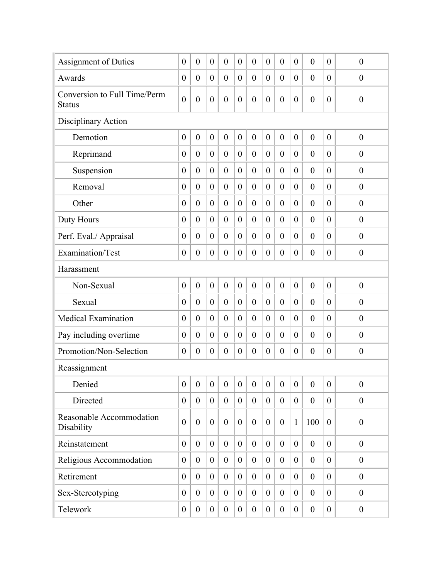| Assignment of Duties                          | $\boldsymbol{0}$ | $\boldsymbol{0}$ | $\boldsymbol{0}$ | $\boldsymbol{0}$ | $\boldsymbol{0}$ | $\overline{0}$   | $\boldsymbol{0}$ | $\boldsymbol{0}$ | $\boldsymbol{0}$ | $\boldsymbol{0}$ | $\theta$         | $\boldsymbol{0}$ |
|-----------------------------------------------|------------------|------------------|------------------|------------------|------------------|------------------|------------------|------------------|------------------|------------------|------------------|------------------|
| Awards                                        | $\boldsymbol{0}$ | $\boldsymbol{0}$ | $\boldsymbol{0}$ | $\boldsymbol{0}$ | $\boldsymbol{0}$ | $\boldsymbol{0}$ | $\boldsymbol{0}$ | $\boldsymbol{0}$ | $\boldsymbol{0}$ | $\boldsymbol{0}$ | $\theta$         | $\boldsymbol{0}$ |
| Conversion to Full Time/Perm<br><b>Status</b> | $\mathbf{0}$     | $\boldsymbol{0}$ | $\boldsymbol{0}$ | $\boldsymbol{0}$ | $\boldsymbol{0}$ | $\overline{0}$   | $\boldsymbol{0}$ | $\overline{0}$   | $\boldsymbol{0}$ | $\boldsymbol{0}$ | $\overline{0}$   | $\boldsymbol{0}$ |
| Disciplinary Action                           |                  |                  |                  |                  |                  |                  |                  |                  |                  |                  |                  |                  |
| Demotion                                      | $\boldsymbol{0}$ | $\boldsymbol{0}$ | $\boldsymbol{0}$ | $\boldsymbol{0}$ | $\boldsymbol{0}$ | $\boldsymbol{0}$ | $\boldsymbol{0}$ | $\boldsymbol{0}$ | $\boldsymbol{0}$ | $\boldsymbol{0}$ | $\overline{0}$   | $\boldsymbol{0}$ |
| Reprimand                                     | $\boldsymbol{0}$ | $\boldsymbol{0}$ | $\boldsymbol{0}$ | $\boldsymbol{0}$ | $\boldsymbol{0}$ | $\overline{0}$   | $\boldsymbol{0}$ | $\overline{0}$   | $\boldsymbol{0}$ | $\boldsymbol{0}$ | $\theta$         | $\theta$         |
| Suspension                                    | $\boldsymbol{0}$ | $\boldsymbol{0}$ | $\boldsymbol{0}$ | $\boldsymbol{0}$ | $\boldsymbol{0}$ | $\overline{0}$   | $\boldsymbol{0}$ | $\overline{0}$   | $\boldsymbol{0}$ | $\boldsymbol{0}$ | $\overline{0}$   | $\boldsymbol{0}$ |
| Removal                                       | $\boldsymbol{0}$ | $\boldsymbol{0}$ | $\overline{0}$   | $\boldsymbol{0}$ | $\boldsymbol{0}$ | $\overline{0}$   | $\boldsymbol{0}$ | $\overline{0}$   | $\boldsymbol{0}$ | $\boldsymbol{0}$ | $\theta$         | $\boldsymbol{0}$ |
| Other                                         | $\boldsymbol{0}$ | $\boldsymbol{0}$ | $\boldsymbol{0}$ | $\boldsymbol{0}$ | $\overline{0}$   | $\boldsymbol{0}$ | $\boldsymbol{0}$ | $\overline{0}$   | $\boldsymbol{0}$ | $\boldsymbol{0}$ | $\theta$         | $\theta$         |
| Duty Hours                                    | $\boldsymbol{0}$ | $\boldsymbol{0}$ | $\boldsymbol{0}$ | $\boldsymbol{0}$ | $\boldsymbol{0}$ | $\overline{0}$   | $\boldsymbol{0}$ | $\overline{0}$   | $\boldsymbol{0}$ | $\boldsymbol{0}$ | $\theta$         | $\boldsymbol{0}$ |
| Perf. Eval./ Appraisal                        | $\boldsymbol{0}$ | $\boldsymbol{0}$ | $\boldsymbol{0}$ | $\boldsymbol{0}$ | $\boldsymbol{0}$ | $\overline{0}$   | $\boldsymbol{0}$ | $\boldsymbol{0}$ | $\boldsymbol{0}$ | $\boldsymbol{0}$ | $\theta$         | $\boldsymbol{0}$ |
| Examination/Test                              | $\boldsymbol{0}$ | $\boldsymbol{0}$ | $\boldsymbol{0}$ | $\boldsymbol{0}$ | $\boldsymbol{0}$ | $\boldsymbol{0}$ | $\boldsymbol{0}$ | $\boldsymbol{0}$ | $\boldsymbol{0}$ | $\boldsymbol{0}$ | $\overline{0}$   | $\boldsymbol{0}$ |
| Harassment                                    |                  |                  |                  |                  |                  |                  |                  |                  |                  |                  |                  |                  |
| Non-Sexual                                    | $\boldsymbol{0}$ | $\boldsymbol{0}$ | $\boldsymbol{0}$ | $\boldsymbol{0}$ | $\boldsymbol{0}$ | $\boldsymbol{0}$ | $\boldsymbol{0}$ | $\boldsymbol{0}$ | $\boldsymbol{0}$ | $\boldsymbol{0}$ | $\overline{0}$   | $\boldsymbol{0}$ |
| Sexual                                        | $\overline{0}$   | $\boldsymbol{0}$ | $\theta$         | $\boldsymbol{0}$ | $\boldsymbol{0}$ | $\theta$         | $\boldsymbol{0}$ | $\overline{0}$   | $\boldsymbol{0}$ | $\boldsymbol{0}$ | $\theta$         | $\mathbf{0}$     |
| <b>Medical Examination</b>                    | $\theta$         | $\mathbf{0}$     | $\theta$         | $\boldsymbol{0}$ | $\boldsymbol{0}$ | $\theta$         | $\boldsymbol{0}$ | $\overline{0}$   | $\boldsymbol{0}$ | $\boldsymbol{0}$ | $\theta$         | $\boldsymbol{0}$ |
| Pay including overtime                        | $\boldsymbol{0}$ | $\boldsymbol{0}$ | $\mathbf{0}$     | $\boldsymbol{0}$ | $\overline{0}$   | $\overline{0}$   | $\boldsymbol{0}$ | $\overline{0}$   | $\boldsymbol{0}$ | $\boldsymbol{0}$ | $\theta$         | $\theta$         |
| Promotion/Non-Selection                       | $\boldsymbol{0}$ | $\boldsymbol{0}$ | $\boldsymbol{0}$ | $\boldsymbol{0}$ | $\boldsymbol{0}$ | $\boldsymbol{0}$ | $\boldsymbol{0}$ | $\boldsymbol{0}$ | $\boldsymbol{0}$ | $\boldsymbol{0}$ | $\boldsymbol{0}$ | $\boldsymbol{0}$ |
| Reassignment                                  |                  |                  |                  |                  |                  |                  |                  |                  |                  |                  |                  |                  |
| Denied                                        | $\boldsymbol{0}$ | $\mathbf{0}$     | $\boldsymbol{0}$ | $\boldsymbol{0}$ | $\boldsymbol{0}$ | $\boldsymbol{0}$ | $\boldsymbol{0}$ | $\boldsymbol{0}$ | $\boldsymbol{0}$ | $\boldsymbol{0}$ | $\theta$         | $\boldsymbol{0}$ |
| Directed                                      | $\boldsymbol{0}$ | $\boldsymbol{0}$ | $\boldsymbol{0}$ | $\boldsymbol{0}$ | $\overline{0}$   | $\boldsymbol{0}$ | $\boldsymbol{0}$ | $\boldsymbol{0}$ | $\overline{0}$   | $\boldsymbol{0}$ | $\mathbf{0}$     | $\boldsymbol{0}$ |
| Reasonable Accommodation<br>Disability        | $\overline{0}$   | $\boldsymbol{0}$ | $\overline{0}$   | $\boldsymbol{0}$ | $\overline{0}$   | $\mathbf{0}$     | $\boldsymbol{0}$ | $\boldsymbol{0}$ | $\mathbf{1}$     | 100              | $\theta$         | $\boldsymbol{0}$ |
| Reinstatement                                 | $\boldsymbol{0}$ | $\boldsymbol{0}$ | $\overline{0}$   | $\boldsymbol{0}$ | $\overline{0}$   | $\mathbf{0}$     | $\mathbf{0}$     | $\overline{0}$   | $\boldsymbol{0}$ | $\boldsymbol{0}$ | $\theta$         | $\boldsymbol{0}$ |
| Religious Accommodation                       | $\boldsymbol{0}$ | $\boldsymbol{0}$ | $\overline{0}$   | $\boldsymbol{0}$ | $\overline{0}$   | $\boldsymbol{0}$ | $\overline{0}$   | $\overline{0}$   | $\boldsymbol{0}$ | $\boldsymbol{0}$ | $\theta$         | $\boldsymbol{0}$ |
| Retirement                                    | $\overline{0}$   | $\boldsymbol{0}$ | $\mathbf{0}$     | $\boldsymbol{0}$ | $\theta$         | $\overline{0}$   | $\overline{0}$   | $\overline{0}$   | $\boldsymbol{0}$ | $\boldsymbol{0}$ | $\theta$         | $\boldsymbol{0}$ |
| Sex-Stereotyping                              | $\boldsymbol{0}$ | $\boldsymbol{0}$ | $\mathbf{0}$     | $\boldsymbol{0}$ | $\boldsymbol{0}$ | $\boldsymbol{0}$ | $\boldsymbol{0}$ | $\overline{0}$   | $\boldsymbol{0}$ | $\boldsymbol{0}$ | $\theta$         | $\boldsymbol{0}$ |
| Telework                                      | $\boldsymbol{0}$ | $\boldsymbol{0}$ | $\boldsymbol{0}$ | $\boldsymbol{0}$ | $\boldsymbol{0}$ | $\boldsymbol{0}$ | $\boldsymbol{0}$ | $\boldsymbol{0}$ | $\boldsymbol{0}$ | $\boldsymbol{0}$ | $\overline{0}$   | $\boldsymbol{0}$ |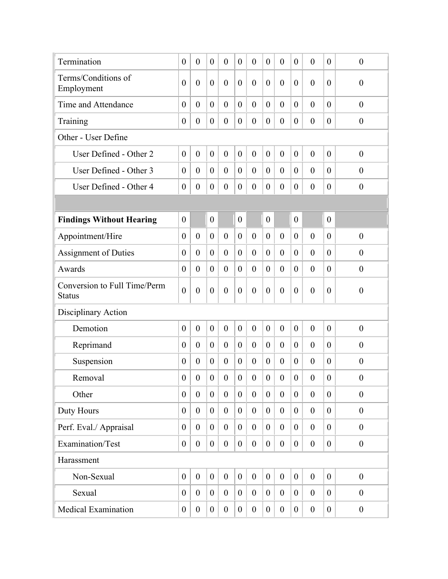| Termination                                   | $\boldsymbol{0}$ | $\boldsymbol{0}$ | $\boldsymbol{0}$ | $\boldsymbol{0}$ | $\boldsymbol{0}$ | $\overline{0}$   | $\boldsymbol{0}$ | $\boldsymbol{0}$ | $\overline{0}$   | $\boldsymbol{0}$ | $\boldsymbol{0}$ | $\boldsymbol{0}$ |
|-----------------------------------------------|------------------|------------------|------------------|------------------|------------------|------------------|------------------|------------------|------------------|------------------|------------------|------------------|
| Terms/Conditions of<br>Employment             | $\overline{0}$   | $\overline{0}$   | $\mathbf{0}$     | $\overline{0}$   | $\theta$         | $\overline{0}$   | $\overline{0}$   | $\overline{0}$   | $\mathbf{0}$     | $\overline{0}$   | $\theta$         | $\overline{0}$   |
| Time and Attendance                           | $\overline{0}$   | $\boldsymbol{0}$ | $\overline{0}$   | $\boldsymbol{0}$ | $\theta$         | $\overline{0}$   | $\mathbf{0}$     | $\overline{0}$   | $\overline{0}$   | $\overline{0}$   | $\theta$         | $\boldsymbol{0}$ |
| Training                                      | $\boldsymbol{0}$ | $\boldsymbol{0}$ | $\boldsymbol{0}$ | $\boldsymbol{0}$ | $\boldsymbol{0}$ | $\boldsymbol{0}$ | $\boldsymbol{0}$ | $\boldsymbol{0}$ | $\boldsymbol{0}$ | $\boldsymbol{0}$ | $\mathbf{0}$     | $\boldsymbol{0}$ |
| Other - User Define                           |                  |                  |                  |                  |                  |                  |                  |                  |                  |                  |                  |                  |
| User Defined - Other 2                        | $\boldsymbol{0}$ | $\boldsymbol{0}$ | $\boldsymbol{0}$ | $\boldsymbol{0}$ | $\boldsymbol{0}$ | $\boldsymbol{0}$ | $\boldsymbol{0}$ | $\boldsymbol{0}$ | $\boldsymbol{0}$ | $\boldsymbol{0}$ | $\theta$         | $\boldsymbol{0}$ |
| User Defined - Other 3                        | $\overline{0}$   | $\boldsymbol{0}$ | $\mathbf{0}$     | $\boldsymbol{0}$ | $\mathbf{0}$     | $\overline{0}$   | $\theta$         | $\overline{0}$   | $\overline{0}$   | $\boldsymbol{0}$ | $\theta$         | $\theta$         |
| User Defined - Other 4                        | $\boldsymbol{0}$ | $\boldsymbol{0}$ | $\overline{0}$   | $\boldsymbol{0}$ | $\boldsymbol{0}$ | $\overline{0}$   | $\boldsymbol{0}$ | $\overline{0}$   | $\boldsymbol{0}$ | $\boldsymbol{0}$ | $\theta$         | $\boldsymbol{0}$ |
|                                               |                  |                  |                  |                  |                  |                  |                  |                  |                  |                  |                  |                  |
| <b>Findings Without Hearing</b>               | $\boldsymbol{0}$ |                  | $\boldsymbol{0}$ |                  | $\boldsymbol{0}$ |                  | $\boldsymbol{0}$ |                  | $\boldsymbol{0}$ |                  | $\mathbf{0}$     |                  |
| Appointment/Hire                              | $\mathbf{0}$     | $\boldsymbol{0}$ | $\boldsymbol{0}$ | $\boldsymbol{0}$ | $\mathbf{0}$     | $\overline{0}$   | $\mathbf{0}$     | $\mathbf{0}$     | $\mathbf{0}$     | $\overline{0}$   | $\theta$         | $\boldsymbol{0}$ |
| <b>Assignment of Duties</b>                   | $\boldsymbol{0}$ | $\boldsymbol{0}$ | $\overline{0}$   | $\boldsymbol{0}$ | $\boldsymbol{0}$ | $\overline{0}$   | $\boldsymbol{0}$ | $\overline{0}$   | $\boldsymbol{0}$ | $\boldsymbol{0}$ | $\theta$         | $\boldsymbol{0}$ |
| Awards                                        | $\overline{0}$   | $\boldsymbol{0}$ | $\theta$         | $\boldsymbol{0}$ | $\mathbf{0}$     | $\overline{0}$   | $\theta$         | $\theta$         | $\overline{0}$   | $\boldsymbol{0}$ | $\theta$         | $\boldsymbol{0}$ |
| Conversion to Full Time/Perm<br><b>Status</b> | $\mathbf{0}$     | $\boldsymbol{0}$ | $\boldsymbol{0}$ | $\boldsymbol{0}$ | $\theta$         | $\overline{0}$   | $\overline{0}$   | $\overline{0}$   | $\boldsymbol{0}$ | $\boldsymbol{0}$ | $\theta$         | $\boldsymbol{0}$ |
| Disciplinary Action                           |                  |                  |                  |                  |                  |                  |                  |                  |                  |                  |                  |                  |
| Demotion                                      | $\boldsymbol{0}$ | $\mathbf{0}$     | $\boldsymbol{0}$ | $\boldsymbol{0}$ | $\boldsymbol{0}$ | $\overline{0}$   | $\boldsymbol{0}$ | $\overline{0}$   | $\boldsymbol{0}$ | $\overline{0}$   | $\mathbf{0}$     | $\mathbf{0}$     |
| Reprimand                                     | $\overline{0}$   | $\overline{0}$   | $\theta$         | $\mathbf{0}$     | $\overline{0}$   | $\overline{0}$   | $\boldsymbol{0}$ | $\overline{0}$   | $\overline{0}$   | $\boldsymbol{0}$ | $\theta$         | $\boldsymbol{0}$ |
| Suspension                                    | $\theta$         | $\boldsymbol{0}$ | $\theta$         | $\overline{0}$   | $\mathbf{0}$     | $\overline{0}$   | $\theta$         | $\theta$         | $\boldsymbol{0}$ | $\overline{0}$   | $\theta$         | $\theta$         |
| Removal                                       | $\overline{0}$   | $\overline{0}$   | $\boldsymbol{0}$ | $\overline{0}$   | $\theta$         | $\overline{0}$   | $\overline{0}$   | $\boldsymbol{0}$ | $\boldsymbol{0}$ | $\overline{0}$   | $\boldsymbol{0}$ | $\boldsymbol{0}$ |
| Other                                         | $\boldsymbol{0}$ | $\boldsymbol{0}$ | $\boldsymbol{0}$ | $\boldsymbol{0}$ | $\boldsymbol{0}$ | $\boldsymbol{0}$ | $\boldsymbol{0}$ | $\boldsymbol{0}$ | $\boldsymbol{0}$ | $\boldsymbol{0}$ | $\theta$         | $\boldsymbol{0}$ |
| Duty Hours                                    | $\boldsymbol{0}$ | $\boldsymbol{0}$ | $\boldsymbol{0}$ | $\boldsymbol{0}$ | $\boldsymbol{0}$ | $\boldsymbol{0}$ | $\boldsymbol{0}$ | $\boldsymbol{0}$ | $\boldsymbol{0}$ | $\boldsymbol{0}$ | $\theta$         | $\boldsymbol{0}$ |
| Perf. Eval./ Appraisal                        | $\boldsymbol{0}$ | $\boldsymbol{0}$ | $\boldsymbol{0}$ | $\boldsymbol{0}$ | $\mathbf{0}$     | $\boldsymbol{0}$ | $\boldsymbol{0}$ | $\boldsymbol{0}$ | $\overline{0}$   | $\boldsymbol{0}$ | $\theta$         | $\boldsymbol{0}$ |
| Examination/Test                              | $\boldsymbol{0}$ | $\boldsymbol{0}$ | $\boldsymbol{0}$ | $\boldsymbol{0}$ | $\boldsymbol{0}$ | $\boldsymbol{0}$ | $\boldsymbol{0}$ | $\boldsymbol{0}$ | $\boldsymbol{0}$ | $\boldsymbol{0}$ | $\theta$         | $\boldsymbol{0}$ |
| Harassment                                    |                  |                  |                  |                  |                  |                  |                  |                  |                  |                  |                  |                  |
| Non-Sexual                                    | $\boldsymbol{0}$ | $\boldsymbol{0}$ | $\boldsymbol{0}$ | $\boldsymbol{0}$ | $\boldsymbol{0}$ | $\boldsymbol{0}$ | $\boldsymbol{0}$ | $\boldsymbol{0}$ | $\boldsymbol{0}$ | $\boldsymbol{0}$ | $\theta$         | $\boldsymbol{0}$ |
| Sexual                                        | $\boldsymbol{0}$ | $\boldsymbol{0}$ | $\boldsymbol{0}$ | $\boldsymbol{0}$ | $\mathbf{0}$     | $\boldsymbol{0}$ | $\boldsymbol{0}$ | $\boldsymbol{0}$ | $\overline{0}$   | $\boldsymbol{0}$ | $\overline{0}$   | $\boldsymbol{0}$ |
| <b>Medical Examination</b>                    | $\boldsymbol{0}$ | $\boldsymbol{0}$ | $\boldsymbol{0}$ | $\boldsymbol{0}$ | $\boldsymbol{0}$ | $\boldsymbol{0}$ | $\boldsymbol{0}$ | $\boldsymbol{0}$ | $\boldsymbol{0}$ | $\boldsymbol{0}$ | $\boldsymbol{0}$ | $\boldsymbol{0}$ |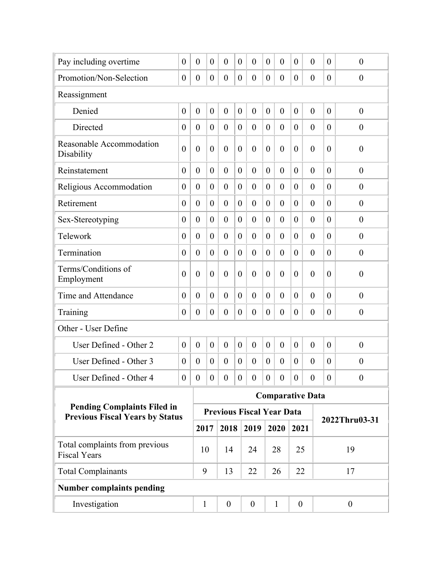| Pay including overtime                                                       | $\boldsymbol{0}$ | $\boldsymbol{0}$ | $\boldsymbol{0}$ | $\boldsymbol{0}$ | $\boldsymbol{0}$ | $\overline{0}$                   | $\boldsymbol{0}$ | $\overline{0}$          | $\boldsymbol{0}$ | $\boldsymbol{0}$ | $\theta$         | $\boldsymbol{0}$ |
|------------------------------------------------------------------------------|------------------|------------------|------------------|------------------|------------------|----------------------------------|------------------|-------------------------|------------------|------------------|------------------|------------------|
| Promotion/Non-Selection                                                      | $\overline{0}$   | $\overline{0}$   | $\theta$         | $\boldsymbol{0}$ | $\theta$         | $\overline{0}$                   | $\theta$         | $\overline{0}$          | $\overline{0}$   | $\boldsymbol{0}$ | $\theta$         | $\boldsymbol{0}$ |
| Reassignment                                                                 |                  |                  |                  |                  |                  |                                  |                  |                         |                  |                  |                  |                  |
| Denied                                                                       | $\boldsymbol{0}$ | $\overline{0}$   | $\boldsymbol{0}$ | $\boldsymbol{0}$ | $\theta$         | $\overline{0}$                   | $\overline{0}$   | $\overline{0}$          | $\boldsymbol{0}$ | $\overline{0}$   | $\theta$         | $\theta$         |
| Directed                                                                     | 0                | $\boldsymbol{0}$ | $\theta$         | $\overline{0}$   | $\overline{0}$   | $\overline{0}$                   | $\overline{0}$   | $\theta$                | $\boldsymbol{0}$ | $\theta$         | $\theta$         | $\theta$         |
| Reasonable Accommodation<br>Disability                                       | $\overline{0}$   | $\boldsymbol{0}$ | $\boldsymbol{0}$ | $\boldsymbol{0}$ | $\boldsymbol{0}$ | $\theta$                         | $\boldsymbol{0}$ | $\theta$                | $\boldsymbol{0}$ | $\boldsymbol{0}$ | $\theta$         | $\boldsymbol{0}$ |
| Reinstatement                                                                | $\overline{0}$   | $\overline{0}$   | $\theta$         | $\overline{0}$   | $\theta$         | $\theta$                         | $\theta$         | $\theta$                | $\overline{0}$   | $\overline{0}$   | $\theta$         | $\mathbf{0}$     |
| Religious Accommodation                                                      | $\theta$         | $\overline{0}$   | $\theta$         | $\boldsymbol{0}$ | $\boldsymbol{0}$ | $\overline{0}$                   | $\boldsymbol{0}$ | $\overline{0}$          | $\boldsymbol{0}$ | $\boldsymbol{0}$ | $\theta$         | $\boldsymbol{0}$ |
| Retirement                                                                   | $\overline{0}$   | $\boldsymbol{0}$ | $\theta$         | $\overline{0}$   | $\theta$         | $\theta$                         | $\overline{0}$   | $\theta$                | $\overline{0}$   | $\overline{0}$   | $\theta$         | $\theta$         |
| Sex-Stereotyping                                                             | $\boldsymbol{0}$ | $\boldsymbol{0}$ | $\boldsymbol{0}$ | $\boldsymbol{0}$ | $\boldsymbol{0}$ | $\overline{0}$                   | $\overline{0}$   | $\overline{0}$          | $\boldsymbol{0}$ | $\boldsymbol{0}$ | $\theta$         | $\boldsymbol{0}$ |
| Telework                                                                     | $\overline{0}$   | $\overline{0}$   | $\theta$         | $\overline{0}$   | $\theta$         | $\overline{0}$                   | $\theta$         | $\overline{0}$          | $\overline{0}$   | $\overline{0}$   | $\theta$         | $\boldsymbol{0}$ |
| Termination                                                                  | $\boldsymbol{0}$ | $\boldsymbol{0}$ | $\boldsymbol{0}$ | $\boldsymbol{0}$ | $\boldsymbol{0}$ | $\overline{0}$                   | $\overline{0}$   | $\overline{0}$          | $\boldsymbol{0}$ | $\boldsymbol{0}$ | $\theta$         | $\boldsymbol{0}$ |
| Terms/Conditions of<br>Employment                                            | $\theta$         | $\overline{0}$   | $\theta$         | $\overline{0}$   | $\boldsymbol{0}$ | $\theta$                         | $\overline{0}$   | $\theta$                | $\overline{0}$   | $\overline{0}$   | $\theta$         | $\overline{0}$   |
| Time and Attendance                                                          | $\overline{0}$   | $\overline{0}$   | $\theta$         | $\overline{0}$   | $\theta$         | $\overline{0}$                   | $\overline{0}$   | $\theta$                | $\overline{0}$   | $\overline{0}$   | $\theta$         | $\theta$         |
| Training                                                                     | $\boldsymbol{0}$ | $\boldsymbol{0}$ | $\theta$         | $\boldsymbol{0}$ | $\boldsymbol{0}$ | $\overline{0}$                   | $\theta$         | $\theta$                | $\boldsymbol{0}$ | $\boldsymbol{0}$ | $\theta$         | $\boldsymbol{0}$ |
| Other - User Define                                                          |                  |                  |                  |                  |                  |                                  |                  |                         |                  |                  |                  |                  |
| User Defined - Other 2                                                       | $\overline{0}$   | $\overline{0}$   | $\theta$         | $\overline{0}$   | $\theta$         | $\overline{0}$                   | $\theta$         | $\overline{0}$          | $\overline{0}$   | $\overline{0}$   | $\theta$         | $\boldsymbol{0}$ |
| User Defined - Other 3                                                       | $\theta$         | $\overline{0}$   | $\theta$         | $\overline{0}$   | $\overline{0}$   | $\theta$                         | $\theta$         | $\theta$                | $\mathbf{0}$     | $\overline{0}$   | $\theta$         | $\overline{0}$   |
| User Defined - Other 4                                                       | $\boldsymbol{0}$ | $\boldsymbol{0}$ | $\boldsymbol{0}$ | $\boldsymbol{0}$ | $\boldsymbol{0}$ | $\boldsymbol{0}$                 | $\boldsymbol{0}$ | $\boldsymbol{0}$        | $\overline{0}$   | $\boldsymbol{0}$ | $\boldsymbol{0}$ | $\boldsymbol{0}$ |
|                                                                              |                  |                  |                  |                  |                  |                                  |                  | <b>Comparative Data</b> |                  |                  |                  |                  |
| <b>Pending Complaints Filed in</b><br><b>Previous Fiscal Years by Status</b> |                  |                  |                  |                  |                  | <b>Previous Fiscal Year Data</b> |                  |                         |                  |                  |                  | 2022Thru03-31    |
|                                                                              |                  | 2017             |                  | 2018             |                  | 2019                             |                  | 2020                    | 2021             |                  |                  |                  |
| Total complaints from previous<br><b>Fiscal Years</b>                        |                  | 10               |                  | 14               |                  | 24                               |                  | 28                      | 25               |                  |                  | 19               |
| <b>Total Complainants</b>                                                    |                  | 9                |                  | 13               |                  | 22                               |                  | 26                      | 22               |                  |                  | 17               |
| <b>Number complaints pending</b>                                             |                  |                  |                  |                  |                  |                                  |                  |                         |                  |                  |                  |                  |
| Investigation                                                                |                  | $\mathbf{1}$     |                  | $\boldsymbol{0}$ |                  | $\boldsymbol{0}$                 |                  | $\mathbf{1}$            | $\boldsymbol{0}$ |                  |                  | $\boldsymbol{0}$ |